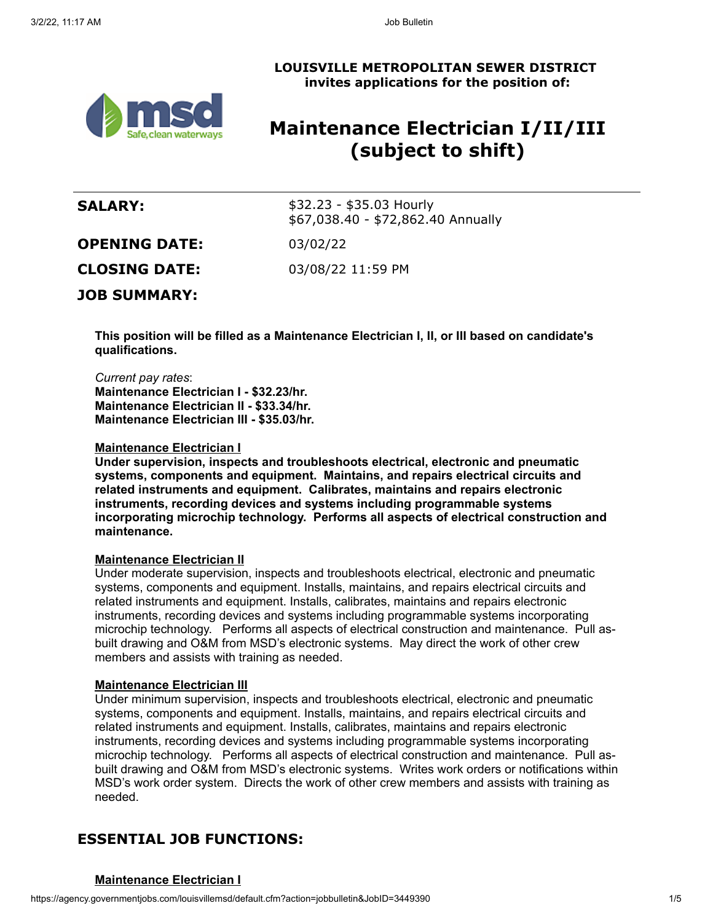**LOUISVILLE METROPOLITAN SEWER DISTRICT invites applications for the position of:**



# **Maintenance Electrician I/II/III (subject to shift)**

| <b>SALARY:</b>       | \$32.23 - \$35.03 Hourly<br>\$67,038.40 - \$72,862.40 Annually |
|----------------------|----------------------------------------------------------------|
| <b>OPENING DATE:</b> | 03/02/22                                                       |
| <b>CLOSING DATE:</b> | 03/08/22 11:59 PM                                              |
| <b>JOB SUMMARY:</b>  |                                                                |

**This position will be filled as a Maintenance Electrician I, II, or III based on candidate's qualifications.**

*Current pay rates*: **Maintenance Electrician I - \$32.23/hr. Maintenance Electrician II - \$33.34/hr. Maintenance Electrician III - \$35.03/hr.**

#### **Maintenance Electrician I**

**Under supervision, inspects and troubleshoots electrical, electronic and pneumatic systems, components and equipment. Maintains, and repairs electrical circuits and related instruments and equipment. Calibrates, maintains and repairs electronic instruments, recording devices and systems including programmable systems incorporating microchip technology. Performs all aspects of electrical construction and maintenance.**

### **Maintenance Electrician II**

Under moderate supervision, inspects and troubleshoots electrical, electronic and pneumatic systems, components and equipment. Installs, maintains, and repairs electrical circuits and related instruments and equipment. Installs, calibrates, maintains and repairs electronic instruments, recording devices and systems including programmable systems incorporating microchip technology. Performs all aspects of electrical construction and maintenance. Pull asbuilt drawing and O&M from MSD's electronic systems. May direct the work of other crew members and assists with training as needed.

#### **Maintenance Electrician III**

Under minimum supervision, inspects and troubleshoots electrical, electronic and pneumatic systems, components and equipment. Installs, maintains, and repairs electrical circuits and related instruments and equipment. Installs, calibrates, maintains and repairs electronic instruments, recording devices and systems including programmable systems incorporating microchip technology. Performs all aspects of electrical construction and maintenance. Pull asbuilt drawing and O&M from MSD's electronic systems. Writes work orders or notifications within MSD's work order system. Directs the work of other crew members and assists with training as needed.

# **ESSENTIAL JOB FUNCTIONS:**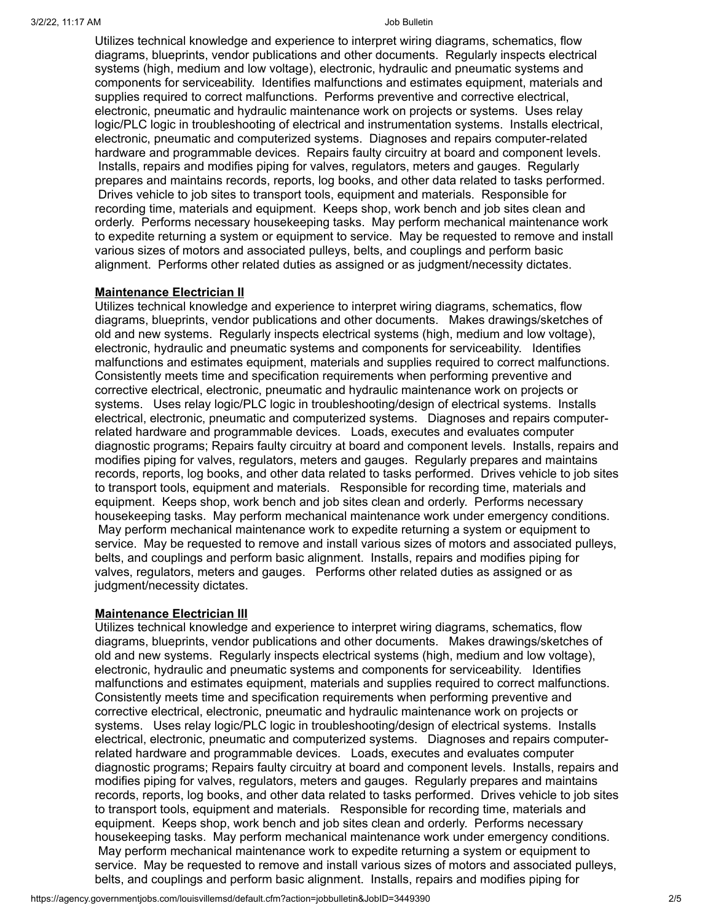Utilizes technical knowledge and experience to interpret wiring diagrams, schematics, flow diagrams, blueprints, vendor publications and other documents. Regularly inspects electrical systems (high, medium and low voltage), electronic, hydraulic and pneumatic systems and components for serviceability. Identifies malfunctions and estimates equipment, materials and supplies required to correct malfunctions. Performs preventive and corrective electrical, electronic, pneumatic and hydraulic maintenance work on projects or systems. Uses relay logic/PLC logic in troubleshooting of electrical and instrumentation systems. Installs electrical, electronic, pneumatic and computerized systems. Diagnoses and repairs computer-related hardware and programmable devices. Repairs faulty circuitry at board and component levels. Installs, repairs and modifies piping for valves, regulators, meters and gauges. Regularly prepares and maintains records, reports, log books, and other data related to tasks performed. Drives vehicle to job sites to transport tools, equipment and materials. Responsible for recording time, materials and equipment. Keeps shop, work bench and job sites clean and orderly. Performs necessary housekeeping tasks. May perform mechanical maintenance work to expedite returning a system or equipment to service. May be requested to remove and install various sizes of motors and associated pulleys, belts, and couplings and perform basic alignment. Performs other related duties as assigned or as judgment/necessity dictates.

#### **Maintenance Electrician II**

Utilizes technical knowledge and experience to interpret wiring diagrams, schematics, flow diagrams, blueprints, vendor publications and other documents. Makes drawings/sketches of old and new systems. Regularly inspects electrical systems (high, medium and low voltage), electronic, hydraulic and pneumatic systems and components for serviceability. Identifies malfunctions and estimates equipment, materials and supplies required to correct malfunctions. Consistently meets time and specification requirements when performing preventive and corrective electrical, electronic, pneumatic and hydraulic maintenance work on projects or systems. Uses relay logic/PLC logic in troubleshooting/design of electrical systems. Installs electrical, electronic, pneumatic and computerized systems. Diagnoses and repairs computerrelated hardware and programmable devices. Loads, executes and evaluates computer diagnostic programs; Repairs faulty circuitry at board and component levels. Installs, repairs and modifies piping for valves, regulators, meters and gauges. Regularly prepares and maintains records, reports, log books, and other data related to tasks performed. Drives vehicle to job sites to transport tools, equipment and materials. Responsible for recording time, materials and equipment. Keeps shop, work bench and job sites clean and orderly. Performs necessary housekeeping tasks. May perform mechanical maintenance work under emergency conditions. May perform mechanical maintenance work to expedite returning a system or equipment to service. May be requested to remove and install various sizes of motors and associated pulleys, belts, and couplings and perform basic alignment. Installs, repairs and modifies piping for valves, regulators, meters and gauges. Performs other related duties as assigned or as judgment/necessity dictates.

#### **Maintenance Electrician III**

Utilizes technical knowledge and experience to interpret wiring diagrams, schematics, flow diagrams, blueprints, vendor publications and other documents. Makes drawings/sketches of old and new systems. Regularly inspects electrical systems (high, medium and low voltage), electronic, hydraulic and pneumatic systems and components for serviceability. Identifies malfunctions and estimates equipment, materials and supplies required to correct malfunctions. Consistently meets time and specification requirements when performing preventive and corrective electrical, electronic, pneumatic and hydraulic maintenance work on projects or systems. Uses relay logic/PLC logic in troubleshooting/design of electrical systems. Installs electrical, electronic, pneumatic and computerized systems. Diagnoses and repairs computerrelated hardware and programmable devices. Loads, executes and evaluates computer diagnostic programs; Repairs faulty circuitry at board and component levels. Installs, repairs and modifies piping for valves, regulators, meters and gauges. Regularly prepares and maintains records, reports, log books, and other data related to tasks performed. Drives vehicle to job sites to transport tools, equipment and materials. Responsible for recording time, materials and equipment. Keeps shop, work bench and job sites clean and orderly. Performs necessary housekeeping tasks. May perform mechanical maintenance work under emergency conditions. May perform mechanical maintenance work to expedite returning a system or equipment to service. May be requested to remove and install various sizes of motors and associated pulleys, belts, and couplings and perform basic alignment. Installs, repairs and modifies piping for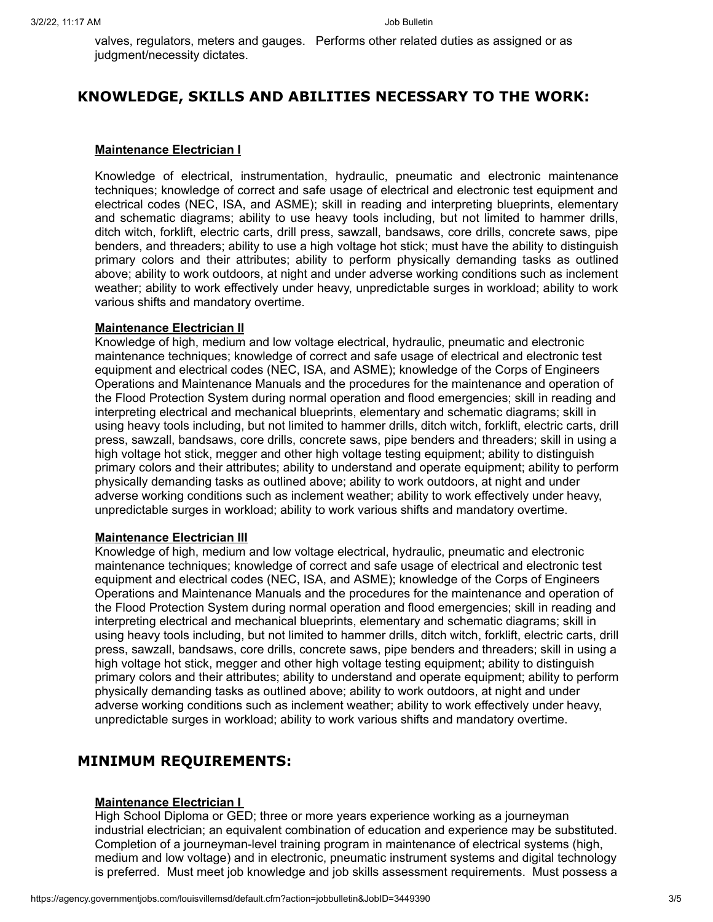valves, regulators, meters and gauges. Performs other related duties as assigned or as judgment/necessity dictates.

# **KNOWLEDGE, SKILLS AND ABILITIES NECESSARY TO THE WORK:**

### **Maintenance Electrician I**

Knowledge of electrical, instrumentation, hydraulic, pneumatic and electronic maintenance techniques; knowledge of correct and safe usage of electrical and electronic test equipment and electrical codes (NEC, ISA, and ASME); skill in reading and interpreting blueprints, elementary and schematic diagrams; ability to use heavy tools including, but not limited to hammer drills, ditch witch, forklift, electric carts, drill press, sawzall, bandsaws, core drills, concrete saws, pipe benders, and threaders; ability to use a high voltage hot stick; must have the ability to distinguish primary colors and their attributes; ability to perform physically demanding tasks as outlined above; ability to work outdoors, at night and under adverse working conditions such as inclement weather; ability to work effectively under heavy, unpredictable surges in workload; ability to work various shifts and mandatory overtime.

#### **Maintenance Electrician II**

Knowledge of high, medium and low voltage electrical, hydraulic, pneumatic and electronic maintenance techniques; knowledge of correct and safe usage of electrical and electronic test equipment and electrical codes (NEC, ISA, and ASME); knowledge of the Corps of Engineers Operations and Maintenance Manuals and the procedures for the maintenance and operation of the Flood Protection System during normal operation and flood emergencies; skill in reading and interpreting electrical and mechanical blueprints, elementary and schematic diagrams; skill in using heavy tools including, but not limited to hammer drills, ditch witch, forklift, electric carts, drill press, sawzall, bandsaws, core drills, concrete saws, pipe benders and threaders; skill in using a high voltage hot stick, megger and other high voltage testing equipment; ability to distinguish primary colors and their attributes; ability to understand and operate equipment; ability to perform physically demanding tasks as outlined above; ability to work outdoors, at night and under adverse working conditions such as inclement weather; ability to work effectively under heavy, unpredictable surges in workload; ability to work various shifts and mandatory overtime.

#### **Maintenance Electrician III**

Knowledge of high, medium and low voltage electrical, hydraulic, pneumatic and electronic maintenance techniques; knowledge of correct and safe usage of electrical and electronic test equipment and electrical codes (NEC, ISA, and ASME); knowledge of the Corps of Engineers Operations and Maintenance Manuals and the procedures for the maintenance and operation of the Flood Protection System during normal operation and flood emergencies; skill in reading and interpreting electrical and mechanical blueprints, elementary and schematic diagrams; skill in using heavy tools including, but not limited to hammer drills, ditch witch, forklift, electric carts, drill press, sawzall, bandsaws, core drills, concrete saws, pipe benders and threaders; skill in using a high voltage hot stick, megger and other high voltage testing equipment; ability to distinguish primary colors and their attributes; ability to understand and operate equipment; ability to perform physically demanding tasks as outlined above; ability to work outdoors, at night and under adverse working conditions such as inclement weather; ability to work effectively under heavy, unpredictable surges in workload; ability to work various shifts and mandatory overtime.

# **MINIMUM REQUIREMENTS:**

#### **Maintenance Electrician I**

High School Diploma or GED; three or more years experience working as a journeyman industrial electrician; an equivalent combination of education and experience may be substituted. Completion of a journeyman-level training program in maintenance of electrical systems (high, medium and low voltage) and in electronic, pneumatic instrument systems and digital technology is preferred. Must meet job knowledge and job skills assessment requirements. Must possess a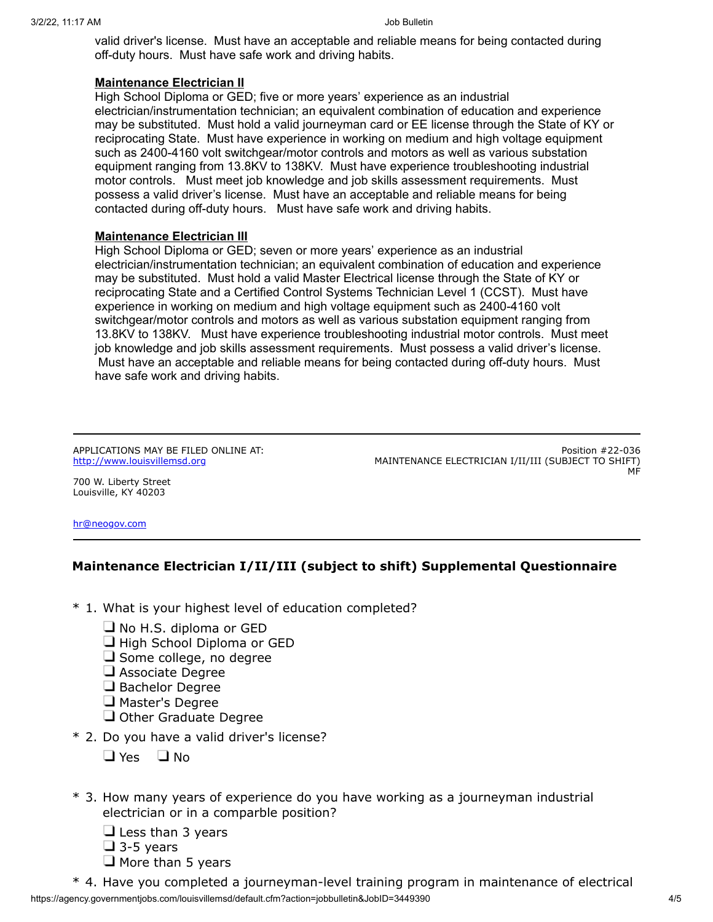valid driver's license. Must have an acceptable and reliable means for being contacted during off-duty hours. Must have safe work and driving habits.

# **Maintenance Electrician II**

High School Diploma or GED; five or more years' experience as an industrial electrician/instrumentation technician; an equivalent combination of education and experience may be substituted. Must hold a valid journeyman card or EE license through the State of KY or reciprocating State. Must have experience in working on medium and high voltage equipment such as 2400-4160 volt switchgear/motor controls and motors as well as various substation equipment ranging from 13.8KV to 138KV. Must have experience troubleshooting industrial motor controls. Must meet job knowledge and job skills assessment requirements. Must possess a valid driver's license. Must have an acceptable and reliable means for being contacted during off-duty hours. Must have safe work and driving habits.

# **Maintenance Electrician III**

High School Diploma or GED; seven or more years' experience as an industrial electrician/instrumentation technician; an equivalent combination of education and experience may be substituted. Must hold a valid Master Electrical license through the State of KY or reciprocating State and a Certified Control Systems Technician Level 1 (CCST). Must have experience in working on medium and high voltage equipment such as 2400-4160 volt switchgear/motor controls and motors as well as various substation equipment ranging from 13.8KV to 138KV. Must have experience troubleshooting industrial motor controls. Must meet job knowledge and job skills assessment requirements. Must possess a valid driver's license. Must have an acceptable and reliable means for being contacted during off-duty hours. Must have safe work and driving habits.

APPLICATIONS MAY BE FILED ONLINE AT: [http://www.louisvillemsd.org](http://www.louisvillemsd.org/)

Position #22-036 MAINTENANCE ELECTRICIAN I/II/III (SUBJECT TO SHIFT) MF

700 W. Liberty Street Louisville, KY 40203

[hr@neogov.com](mailto:hr@neogov.com)

# **Maintenance Electrician I/II/III (subject to shift) Supplemental Questionnaire**

- \* 1. What is your highest level of education completed?
	- $\Box$  No H.S. diploma or GED
	- $\Box$  High School Diploma or GED
	- $\Box$  Some college, no degree
	- Associate Degree
	- $\Box$  Bachelor Degree
	- $\Box$  Master's Degree
	- $\Box$  Other Graduate Degree
- \* 2. Do you have a valid driver's license?

 $\Box$  Yes  $\Box$  No

- \* 3. How many years of experience do you have working as a journeyman industrial electrician or in a comparble position?
	- $\Box$  Less than 3 years
	- $\Box$  3-5 years
	- $\Box$  More than 5 years

https://agency.governmentjobs.com/louisvillemsd/default.cfm?action=jobbulletin&JobID=3449390 4/5 \* 4. Have you completed a journeyman-level training program in maintenance of electrical